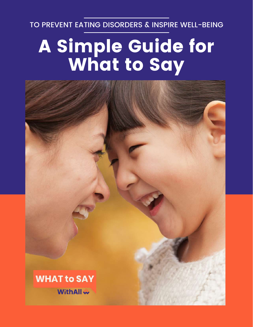TO PREVENT EATING DISORDERS & INSPIRE WELL-BEING

# A Simple Guide for What to Say

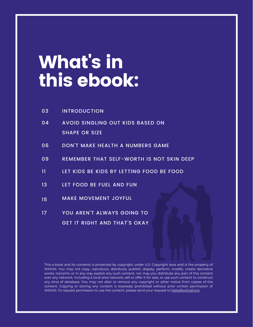## What' s in this ebook:

| 03      | <b>INTRODUCTION</b>                       |
|---------|-------------------------------------------|
| 04      | <b>AVOID SINGLING OUT KIDS BASED ON</b>   |
|         | <b>SHAPE OR SIZE</b>                      |
| 06      | DON'T MAKE HEALTH A NUMBERS GAME          |
| 09      | REMEMBER THAT SELF-WORTH IS NOT SKIN DEEP |
| 11.     | LET KIDS BE KIDS BY LETTING FOOD BE FOOD  |
| 13      | <b>LET FOOD BE FUEL AND FUN</b>           |
| 15      | <b>MAKE MOVEMENT JOYFUL</b>               |
| $17 \,$ | YOU AREN'T ALWAYS GOING TO                |
|         | <b>GET IT RIGHT AND THAT'S OKAY</b>       |

This e-book and its contents is protected by copyright under U.S. Copyright laws and is the property of WithAll. You may not copy, reproduce, distribute, publish, display, perform, modify, create derivative works, transmit, or in any way exploit any such content, nor may you distribute any part of this content over any network, including a local area network, sell or offer it for sale, or use such content to construct any kind of database. You may not alter or remove any copyright or other notice from copies of the content. Copying or storing any content is expressly prohibited without prior written permission of WithAll. To request permission to use the content, please send your request to [hello@withall.org](mailto:hello@withall.org)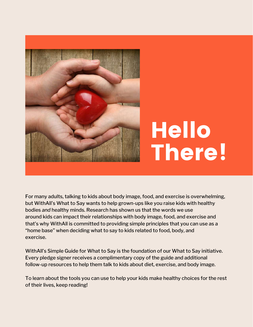

# Hello There!

For many adults, talking to kids about body image, food, and exercise is overwhelming, but WithAll's What to Say wants to help grown-ups like you raise kids with healthy bodies *and* healthy minds. Research has shown us that the words we use around kids can impact their relationships with body image, food, and exercise and that's why WithAll is committed to providing simple principles that you can use as a "home base" when deciding what to say to kids related to food, body, and exercise.

WithAll's Simple Guide for What to Say is the foundation of our What to Say initiative. Every pledge signer receives a complimentary copy of the guide and additional follow-up resources to help them talk to kids about diet, exercise, and body image.

To learn about the tools you can use to help your kids make healthy choices for the rest of their lives, keep reading!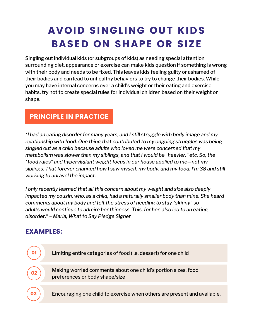## AVOID SINGLING OUT KIDS BASED ON SHAPE OR SIZE

Singling out individual kids (or subgroups of kids) as needing special attention surrounding diet, appearance or exercise can make kids question if something is wrong with their body and needs to be fixed. This leaves kids feeling guilty or ashamed of their bodies and can lead to unhealthy behaviors to try to change their bodies. While you may have internal concerns over a child's weight or their eating and exercise habits, try not to create special rules for individual children based on their weight or shape.

#### PRINCIPLE IN PRACTICE

*"I had an eating disorder for many years, and I still struggle with body image and my relationship with food. One thing that contributed to my ongoing struggles was being singled out as a child because adults who loved me were concerned that my metabolism was slower than my siblings, and that I would be "heavier," etc. So, the "food rules" and hypervigilant weight focus in our house applied to me—not my siblings. That forever changed how I saw myself, my body, and my food. I'm 38 and still working to unravel the impact.*

*I only recently learned that all this concern about my weight and size also deeply impacted my cousin, who, as a child, had a naturally smaller body than mine. She heard comments about my body and felt the stress of needing to stay "skinny" so adults would continue to admire her thinness. This, for her, also led to an eating disorder." – Maria, What to Say Pledge Signer*

#### EXAMPLES:

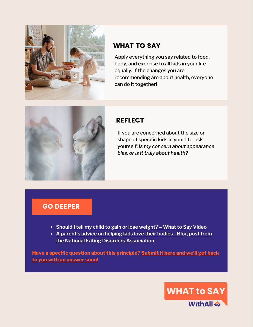

Apply everything you say related to food, body, and exercise to all kids in your life equally. If the changes you are recommending are about health, everyone can do it together!



#### **REFLECT**

If you are concerned about the size or shape of specific kids in your life, ask yourself: *Is my concern about appearance bias, or is it truly about health?*

#### GO DEEPER

- **Should I tell my child to gain or lose [weight?](https://www.whattosaynow.org/april-21-qa/) – What to Say Video**
- **A parent's advice on helping kids love their bodies - Blog post from the National Eating Disorders [Association](https://www.nationaleatingdisorders.org/blog/parents-advice-helping-kids-love-their-bodies)**

**Have a specific question about this [principle?](https://www.tfaforms.com/4884336) Submit it here and we'll get back to you with an answer soon!**

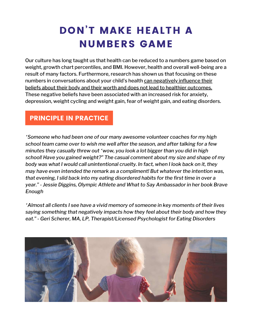## DON'T MAKE HEALTH A NUMBERS GAME

Our culture has long taught us that health can be reduced to a numbers game based on weight, growth chart percentiles, and BMI. However, health and overall well-being are a result of many factors. Furthermore, research has shown us that focusing on these numbers in [conversations](https://www.nationaleatingdisorders.org/weight-stigma) about your child's health can negatively influence their beliefs about their body and their worth and does not lead to healthier [outcomes.](https://www.psychologytoday.com/us/blog/eating-mindfully/201608/the-danger-talking-children-about-weight) These negative beliefs have been associated with an increased risk for anxiety, depression, weight cycling and weight gain, fear of weight gain, and eating disorders.

#### PRINCIPLE IN PRACTICE

*"Someone who had been one of our many awesome volunteer coaches for my high school team came over to wish me well after the season, and after talking for a few minutes they casually threw out "wow, you look a lot bigger than you did in high school! Have you gained weight?" The casual comment about my size and shape of my body was what I would call unintentional cruelty. In fact, when I look back on it, they may have even intended the remark as a compliment! But whatever the intention was, that evening, I slid back into my eating disordered habits for the first time in over a year." - Jessie Diggins, Olympic Athlete and What to Say Ambassador in her book Brave Enough*

*"Almost all clients I see have a vivid memory of someone in key moments of their lives saying something that negatively impacts how they feel about their body and how they eat." - Geri Scherer, MA, LP, Therapist/Licensed Psychologist for Eating Disorders*

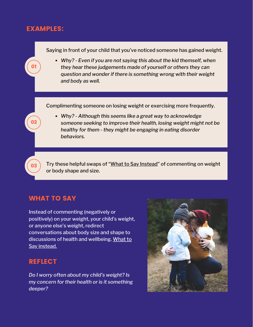#### EXAMPLES:



#### WHAT TO SAY

Instead of commenting (negatively or positively) on your weight, your child's weight, or anyone else's weight, redirect conversations about body size and shape to [discussions](https://www.whattosaynow.org/what-to-say-instead/) of health and wellbeing. What to Say instead.

#### **REFLECT**

*Do I worry often about my child's weight? Is my concern for their health or is it something deeper?*

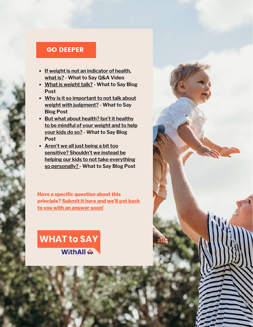#### GO DEEPER

- **If weight is not an [indicator](https://www.whattosaynow.org/april-21-qa/) of health, what is? - What to Say Q&A Video**
- **What is [weight](https://www.whattosaynow.org/what-is-weight-talk/) talk? - What to Say Blog Post**
- **Why is it so important to not talk about weight with [judgment?](https://www.whattosaynow.org/weight-judgment/) - What to Say Blog Post**
- **But what about health? Isn't it healthy to be [mindful](https://www.whattosaynow.org/mindful-weight-health/) of your weight and to help your kids do so? - What to Say Blog Post**
- **Aren't we all just being a bit too sensitive? Shouldn't we instead be helping our kids to not take everything so [personally?](https://www.whattosaynow.org/too-sensitive-weight-diet-talk/) - What to Say Blog Post**

**Have a specific question about this [principle?](https://www.tfaforms.com/4884336) Submit it here and we'll get back to you with an answer soon!**

### **WHAT to SAY WithAll &**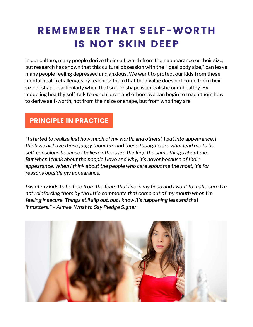## REMEMBER THAT SELF-WORTH IS NOT SKIN DEEP

In our culture, many people derive their self-worth from their appearance or their size, but research has shown that this cultural obsession with the "ideal body size," can leave many people feeling depressed and anxious. We want to protect our kids from these mental health challenges by teaching them that their value does not come from their size or shape, particularly when that size or shape is unrealistic or unhealthy. By modeling healthy self-talk to our children and others, we can begin to teach them how to derive self-worth, not from their size or shape, but from who they are.

#### PRINCIPLE IN PRACTICE

*"I started to realize just how much of my worth, and others', I put into appearance. I think we all have those judgy thoughts and these thoughts are what lead me to be self-conscious because I believe others are thinking the same things about me. But when I think about the people I love and why, it's never because of their appearance. When I think about the people who care about me the most, it's for reasons outside my appearance.*

I want my kids to be free from the fears that live in my head and I want to make sure I'm *not reinforcing them by the little comments that come out of my mouth when I'm feeling insecure. Things still slip out, but I know it's happening less and that it matters." – Aimee, What to Say Pledge Signer*

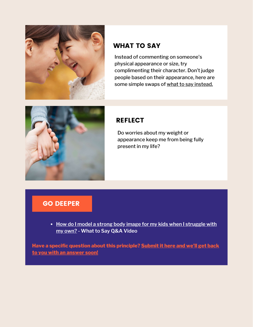

Instead of commenting on someone's physical appearance or size, try complimenting their character. Don't judge people based on their appearance, here are some simple swaps of what to say [instead.](https://www.thegoodtrade.com/features/best-compliments)



#### **REFLECT**

Do worries about my weight or appearance keep me from being fully present in my life?

#### GO DEEPER

**How do I model a strong body image for my kids when I [struggle](https://www.whattosaynow.org/may2021qa/) with my own? - What to Say Q&A Video**

**Have a specific question about this [principle?](https://www.tfaforms.com/4884336) Submit it here and we'll get back to you with an answer soon!**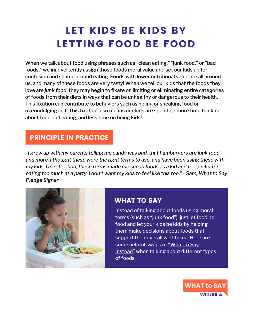## LET KIDS BE KIDS BY LETTING FOOD BE FOOD

When we talk about food using phrases such as "clean eating," "junk food," or "bad foods," we inadvertently assign those foods moral value and set our kids up for confusion and shame around eating. Foods with lower nutritional value are all around us, and many of these foods are very tasty! When we tell our kids that the foods they love are *junk food*, they may begin to fixate on limiting or eliminating entire categories of foods from their diets in ways that can be unhealthy or dangerous to their health. This fixation can contribute to behaviors such as hiding or sneaking food or overindulging in it. This fixation also means our kids are spending more time thinking about food and eating, and less time on being kids!

#### PRINCIPLE IN PRACTICE

*"I grew up with my parents telling me candy was bad, that hamburgers are junk food, and more. I thought these were the right terms to use, and have been using these with my kids. On reflection, these terms made me sneak foods as a kid and feel guilty for* eating too much at a party. I don't want my kids to feel like this too." - Sam, What to Say *Pledge Signer*



#### WHAT TO SAY

Instead of talking about foods using moral terms (such as "junk food"), just let food be food and let your kids be kids by helping them make decisions about foods that support their overall well-being. Here are some helpful swaps of "What to Say [Instead"](https://www.whattosaynow.org/what-to-say-instead/) when talking about different types of foods.

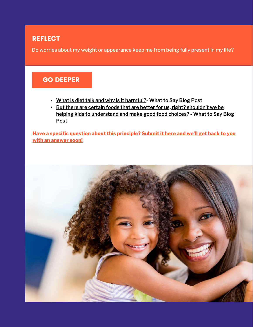#### **REFLECT**

Do worries about my weight or appearance keep me from being fully present in my life?

#### GO DEEPER

- **What is diet talk and why is it [harmful?](https://www.whattosaynow.org/what-is-diet-talk-and-why-is-it-harmful/)- What to Say Blog Post**
- [B](https://www.whattosaynow.org/nutrition-diet-talk/)**ut there are certain foods that are better for us, right? shouldn't we be helping kids to [understand](https://www.whattosaynow.org/nutrition-diet-talk/) and make good food choices? - What to Say Blog Post**

**Have a specific question about this [principle?](https://www.tfaforms.com/4884336) Submit it here and we'll get back to you with an answer soon!**

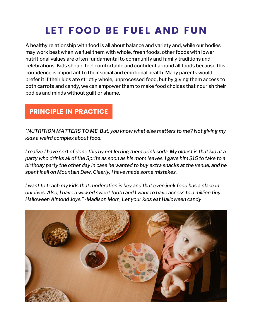## LET FOOD BE FUEL AND FUN

A healthy relationship with food is all about balance and variety and, while our bodies may work best when we fuel them with whole, fresh foods, other foods with lower nutritional values are often fundamental to community and family traditions and celebrations. Kids should feel comfortable and confident around all foods because this confidence is important to their social and emotional health. Many parents would prefer it if their kids ate strictly whole, unprocessed food, but by giving them access to both carrots and candy, we can empower them to make food choices that nourish their bodies and minds without guilt or shame.

#### PRINCIPLE IN PRACTICE

*"NUTRITION MATTERS TO ME. But, you know what else matters to me? Not giving my kids a weird complex about food.*

I realize I have sort of done this by not letting them drink soda. My oldest is that kid at a party who drinks all of the Sprite as soon as his mom leaves. I gave him \$15 to take to a *birthday party the other day in case he wanted to buy extra snacks at the venue, and he spent it all on Mountain Dew. Clearly, I have made some mistakes.*

*I want to teach my kids that moderation is key and that even junk food has a place in our lives. Also, I have a wicked sweet tooth and I want to have access to a million tiny Halloween Almond Joys." -Madison Mom, Let your kids eat Halloween candy*

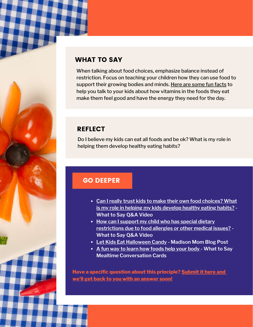When talking about food choices, emphasize balance instead of restriction. Focus on teaching your children how they can use food to support their growing bodies and minds. Here are [some](https://i.pinimg.com/originals/f1/6a/c9/f16ac910d49d08f60ea4d80d4762d32a.jpg) fun facts to help you talk to your kids about how vitamins in the foods they eat make them feel good and have the energy they need for the day.

#### **REFLECT**

Do I believe my kids can eat all foods and be ok? What is my role in helping them develop healthy eating habits?

#### GO DEEPER

- **Can I really trust kids to make their own food [choices?](https://www.whattosaynow.org/can-i-really-trust-my-kid-to-eat-healthy/) What is my role in helping my kids develop healthy eating [habits?](https://www.whattosaynow.org/can-i-really-trust-my-kid-to-eat-healthy/) - What to Say Q&A Video**
- **How can I support my child who has special dietary [restrictions](https://www.whattosaynow.org/how-can-i-support-my-child-who-has-special-dietary-restrictions-due-to-food-allergies-or-other-medical-issues/) due to food allergies or other medical issues? - What to Say Q&A Video**
- **Let Kids Eat [Halloween](https://madisonmom.com/let-kids-eat-halloween-candy/) Candy - Madison Mom Blog Post**
- **A fun way to learn how [foods](https://www.whattosaynow.org/shop/) help your body - What to Say Mealtime Conversation Cards**

**Have a specific question about this principle? [Submit](https://www.tfaforms.com/4884336) it here and we'll get back to you with an [answer](https://www.tfaforms.com/4884336) soon!**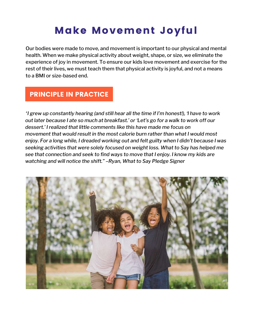## Make Movement Joyful

Our bodies were made to move, and movement is important to our physical and mental health. When we make physical activity about weight, shape, or size, we eliminate the experience of joy in movement. To ensure our kids love movement and exercise for the rest of their lives, we must teach them that physical activity is joyful, and not a means to a BMI or size-based end.

#### PRINCIPLE IN PRACTICE

*"I grew up constantly hearing (and still hear all the time if I'm honest!), 'I have to work out later because I ate so much at breakfast.' or 'Let's go for a walk to work off our dessert.' I realized that little comments like this have made me focus on movement that would result in the most calorie burn rather than what I would most enjoy. For a long while, I dreaded working out and felt guilty when I didn't because I was seeking activities that were solely focused on weight loss. What to Say has helped me see that connection and seek to find ways to move that I enjoy. I know my kids are watching and will notice the shift." –Ryan, What to Say Pledge Signer*

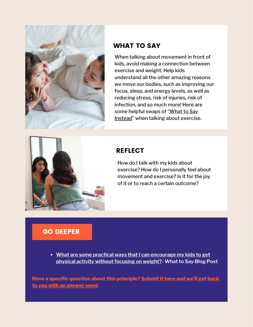

When talking about movement in front of kids, avoid making a connection between exercise and weight. Help kids understand all the other amazing reasons we move our bodies, such as improving our focus, sleep, and energy levels, as well as reducing stress, risk of injuries, risk of infection, and so much more! Here are some helpful swaps of ["What](https://www.whattosaynow.org/what-to-say-instead/) to Say [Instead"](https://www.whattosaynow.org/what-to-say-instead/) when talking about exercise.



#### **REFLECT**

How do I talk with my kids about exercise? How do I personally feel about movement and exercise? Is it for the joy of it or to reach a certain outcome?

#### GO DEEPER

**What are some practical ways that I can [encourage](https://www.whattosaynow.org/tips-for-not-singling-a-kid-out-food-body/) my kids to get physical activity without focusing on weight?- What to Say Blog Post**

**Have a specific question about this [principle?](https://www.tfaforms.com/4884336) Submit it here and we'll get back to you with an answer soon!**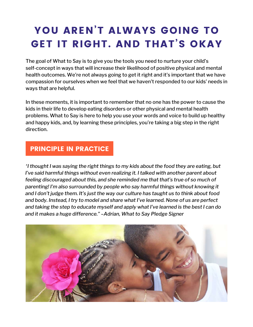## YOU AREN'T ALWAYS GOING TO GET IT RIGHT. AND THAT'S OKAY

The goal of What to Say is to give you the tools you need to nurture your child's self-concept in ways that will increase their likelihood of positive physical and mental health outcomes. We're not always going to get it right and it's important that we have compassion for ourselves when we feel that we haven't responded to our kids' needs in ways that are helpful.

In these moments, it is important to remember that no one has the power to cause the kids in their life to develop eating disorders or other physical and mental health problems. What to Say is here to help you use your words and voice to build up healthy and happy kids, and, by learning these principles, you're taking a big step in the right direction.

#### PRINCIPLE IN PRACTICE

*"I thought I was saying the right things to my kids about the food they are eating, but I've said harmful things without even realizing it. I talked with another parent about feeling discouraged about this, and she reminded me that that's true of so much of parenting! I'm also surrounded by people who say harmful things without knowing it and I don't judge them. It's just the way our culture has taught us to think about food and body. Instead, I try to model and share what I've learned. None of us are perfect and taking the step to educate myself and apply what I've learned is the best I can do and it makes a huge difference." –Adrian, What to Say Pledge Signer*